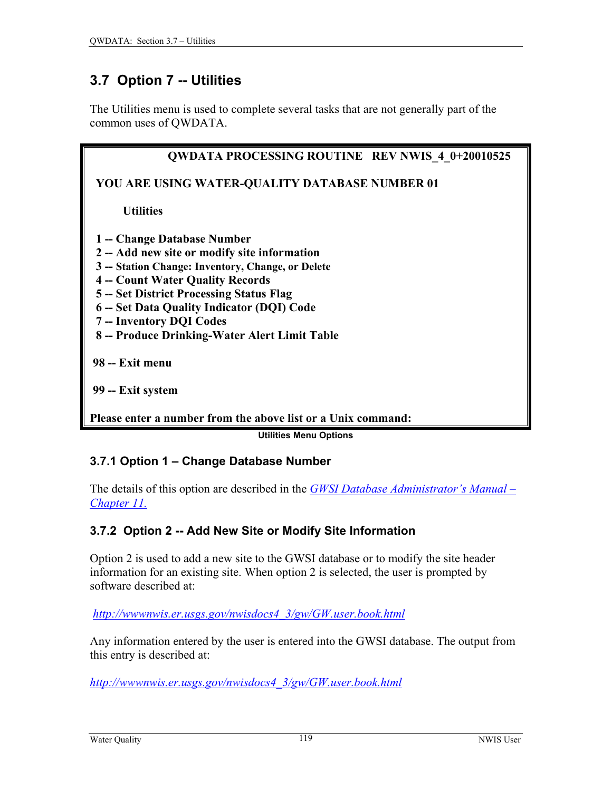# <span id="page-0-0"></span>**3.7 Option 7 -- Utilities**

The Utilities menu is used to complete several tasks that are not generally part of the common uses of QWDATA.

| <b>QWDATA PROCESSING ROUTINE REV NWIS 4 0+20010525</b> |
|--------------------------------------------------------|
| YOU ARE USING WATER-QUALITY DATABASE NUMBER 01         |
| <b>Utilities</b>                                       |
| 1 - Change Database Number                             |
| 2 -- Add new site or modify site information           |
| 3 -- Station Change: Inventory, Change, or Delete      |
| <b>4 -- Count Water Quality Records</b>                |
| 5 -- Set District Processing Status Flag               |
| 6 -- Set Data Quality Indicator (DQI) Code             |
| 7 -- Inventory DQI Codes                               |
| 8 -- Produce Drinking-Water Alert Limit Table          |
| 98 -- Exit menu                                        |
|                                                        |
| 99 -- Exit system                                      |
|                                                        |

**Please enter a number from the above list or a Unix command:**

**Utilities Menu Options** 

### **3.7.1 Option 1 – Change Database Number**

The details of this option are described in the *[GWSI Database Administrator's Manual –](http://wwwnwis.er.usgs.gov/nwisdocs4_3/gw/admin/GWDefaultData-11.pdf) [Chapter 11.](http://wwwnwis.er.usgs.gov/nwisdocs4_3/gw/admin/GWDefaultData-11.pdf)*

### **3.7.2 Option 2 -- Add New Site or Modify Site Information**

Option 2 is used to add a new site to the GWSI database or to modify the site header information for an existing site. When option 2 is selected, the user is prompted by software described at:

*[http://wwwnwis.er.usgs.gov/nwisdocs4\\_3/gw/GW.user.book.html](http://wwwnwis.er.usgs.gov/nwisdocs4_3/gw/GW.user.book.html)*

Any information entered by the user is entered into the GWSI database. The output from this entry is described at:

*[http://wwwnwis.er.usgs.gov/nwisdocs4\\_3/gw/GW.user.book.html](http://wwwnwis.er.usgs.gov/nwisdocs4_3/gw/GW.user.book.html)*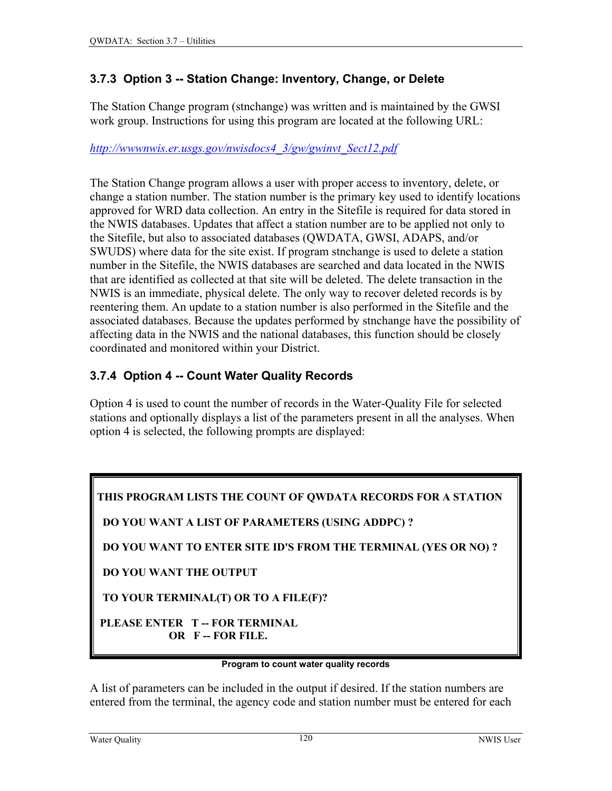# **3.7.3 Option 3 -- Station Change: Inventory, Change, or Delete**

The Station Change program (stnchange) was written and is maintained by the GWSI work group. Instructions for using this program are located at the following URL:

#### *[http://wwwnwis.er.usgs.gov/nwisdocs4\\_3/gw/gwinvt\\_Sect12.pdf](http://wwwnwis.er.usgs.gov/nwisdocs4_3/gw/gwinvt_Sect12.pdf)*

The Station Change program allows a user with proper access to inventory, delete, or change a station number. The station number is the primary key used to identify locations approved for WRD data collection. An entry in the Sitefile is required for data stored in the NWIS databases. Updates that affect a station number are to be applied not only to the Sitefile, but also to associated databases (QWDATA, GWSI, ADAPS, and/or SWUDS) where data for the site exist. If program stnchange is used to delete a station number in the Sitefile, the NWIS databases are searched and data located in the NWIS that are identified as collected at that site will be deleted. The delete transaction in the NWIS is an immediate, physical delete. The only way to recover deleted records is by reentering them. An update to a station number is also performed in the Sitefile and the associated databases. Because the updates performed by stnchange have the possibility of affecting data in the NWIS and the national databases, this function should be closely coordinated and monitored within your District.

# **3.7.4 Option 4 -- Count Water Quality Records**

Option 4 is used to count the number of records in the Water-Quality File for selected stations and optionally displays a list of the parameters present in all the analyses. When option 4 is selected, the following prompts are displayed:

**THIS PROGRAM LISTS THE COUNT OF QWDATA RECORDS FOR A STATION** 

 **DO YOU WANT A LIST OF PARAMETERS (USING ADDPC) ?** 

 **DO YOU WANT TO ENTER SITE ID'S FROM THE TERMINAL (YES OR NO) ?** 

 **DO YOU WANT THE OUTPUT** 

 **TO YOUR TERMINAL(T) OR TO A FILE(F)?** 

 **PLEASE ENTER T -- FOR TERMINAL OR F -- FOR FILE.** 

#### **Program to count water quality records**

A list of parameters can be included in the output if desired. If the station numbers are entered from the terminal, the agency code and station number must be entered for each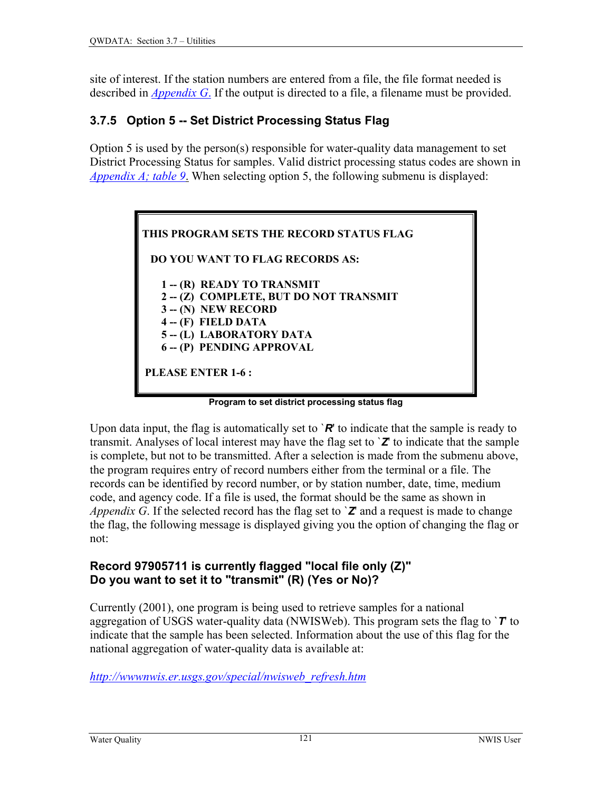site of interest. If the station numbers are entered from a file, the file format needed is described in *[Appendix G](#page-0-0)*. If the output is directed to a file, a filename must be provided.

# **3.7.5 Option 5 -- Set District Processing Status Flag**

Option 5 is used by the person(s) responsible for water-quality data management to set District Processing Status for samples. Valid district processing status codes are shown in *[Appendix A; table 9](#page-0-0)*. When selecting option 5, the following submenu is displayed:

| THIS PROGRAM SETS THE RECORD STATUS FLAG |
|------------------------------------------|
| <b>DO YOU WANT TO FLAG RECORDS AS:</b>   |
| 1 -- (R) READY TO TRANSMIT               |
| 2-(Z) COMPLETE, BUT DO NOT TRANSMIT      |
| $3 - (N)$ NEW RECORD                     |
| $4 - (F)$ FIELD DATA                     |
| 5 -- (L) LABORATORY DATA                 |
| 6 -- (P) PENDING APPROVAL                |
| <b>PLEASE ENTER 1-6:</b>                 |

**Program to set district processing status flag**

Upon data input, the flag is automatically set to  $\mathbb{R}^n$  to indicate that the sample is ready to transmit. Analyses of local interest may have the flag set to `*Z*' to indicate that the sample is complete, but not to be transmitted. After a selection is made from the submenu above, the program requires entry of record numbers either from the terminal or a file. The records can be identified by record number, or by station number, date, time, medium code, and agency code. If a file is used, the format should be the same as shown in *Appendix G*. If the selected record has the flag set to  $\mathbb{Z}$  and a request is made to change the flag, the following message is displayed giving you the option of changing the flag or not:

### **Record 97905711 is currently flagged "local file only (Z)" Do you want to set it to "transmit" (R) (Yes or No)?**

Currently (2001), one program is being used to retrieve samples for a national aggregation of USGS water-quality data (NWISWeb). This program sets the flag to `*T*' to indicate that the sample has been selected. Information about the use of this flag for the national aggregation of water-quality data is available at:

*[http://wwwnwis.er.usgs.gov/special/nwisweb\\_refresh.htm](http://wwwnwis.er.usgs.gov/special/nwisweb_refresh.htm)*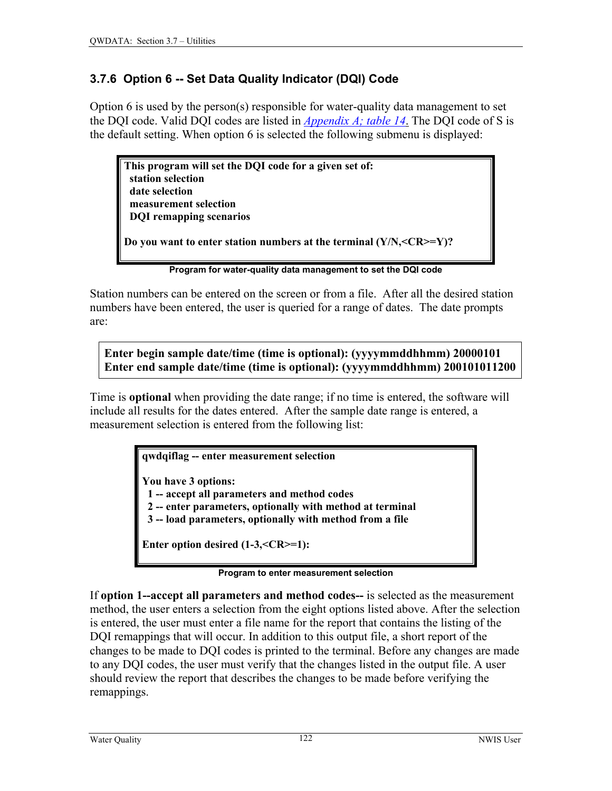# **3.7.6 Option 6 -- Set Data Quality Indicator (DQI) Code**

Option 6 is used by the person(s) responsible for water-quality data management to set the DQI code. Valid DQI codes are listed in *[Appendix A; table 14](#page-13-0)*. The DQI code of S is the default setting. When option 6 is selected the following submenu is displayed:

**This program will set the DQI code for a given set of: station selection date selection measurement selection DQI remapping scenarios Do you want to enter station numbers at the terminal (Y/N,<CR>=Y)?** 

**Program for water-quality data management to set the DQI code**

Station numbers can be entered on the screen or from a file. After all the desired station numbers have been entered, the user is queried for a range of dates. The date prompts are:

**Enter begin sample date/time (time is optional): (yyyymmddhhmm) 20000101 Enter end sample date/time (time is optional): (yyyymmddhhmm) 200101011200**

Time is **optional** when providing the date range; if no time is entered, the software will include all results for the dates entered. After the sample date range is entered, a measurement selection is entered from the following list:

**qwdqiflag -- enter measurement selection** 

**You have 3 options:** 

 **1 -- accept all parameters and method codes** 

 **2 -- enter parameters, optionally with method at terminal** 

 **3 -- load parameters, optionally with method from a file** 

**Enter option desired (1-3,<CR>=1):** 

**Program to enter measurement selection**

If **option 1--accept all parameters and method codes--** is selected as the measurement method, the user enters a selection from the eight options listed above. After the selection is entered, the user must enter a file name for the report that contains the listing of the DQI remappings that will occur. In addition to this output file, a short report of the changes to be made to DQI codes is printed to the terminal. Before any changes are made to any DQI codes, the user must verify that the changes listed in the output file. A user should review the report that describes the changes to be made before verifying the remappings.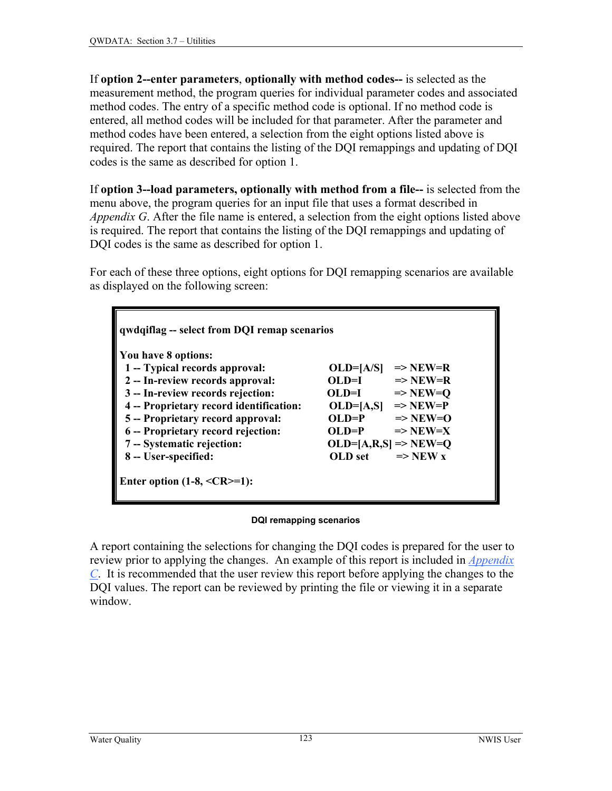If **option 2--enter parameters**, **optionally with method codes--** is selected as the measurement method, the program queries for individual parameter codes and associated method codes. The entry of a specific method code is optional. If no method code is entered, all method codes will be included for that parameter. After the parameter and method codes have been entered, a selection from the eight options listed above is required. The report that contains the listing of the DQI remappings and updating of DQI codes is the same as described for option 1.

If **option 3--load parameters, optionally with method from a file--** is selected from the menu above, the program queries for an input file that uses a format described in *Appendix G*. After the file name is entered, a selection from the eight options listed above is required. The report that contains the listing of the DQI remappings and updating of DQI codes is the same as described for option 1.

For each of these three options, eight options for DQI remapping scenarios are available as displayed on the following screen:

| You have 8 options:                     |                                    |
|-----------------------------------------|------------------------------------|
| 1 -- Typical records approval:          | $\Rightarrow$ NEW=R<br>$OLD=[A/S]$ |
| 2 -- In-review records approval:        | OLDI<br>$\Rightarrow$ NEW=R        |
| 3 -- In-review records rejection:       | $OLD=I$<br>$\Rightarrow$ NEW=O     |
| 4 -- Proprietary record identification: | $OLD=[A,S]$<br>$\Rightarrow$ NEW=P |
| 5 -- Proprietary record approval:       | $OL$ D=P<br>$\Rightarrow$ NEW=0    |
| 6 -- Proprietary record rejection:      | OLDP<br>$\Rightarrow$ NEW=X        |
| 7 -- Systematic rejection:              | $OLD=[A,R,S] \Rightarrow NEW=Q$    |
| 8 -- User-specified:                    | OLD set<br>$\Rightarrow$ NEW x     |

#### **DQI remapping scenarios**

A report containing the selections for changing the DQI codes is prepared for the user to review prior to applying the changes. An example of this report is included in *[Appendix](#page-0-0)  C*. It is recommended that the user review this report before applying the changes to the [DQ](#page-0-0)I values. The report can be reviewed by printing the file or viewing it in a separate window.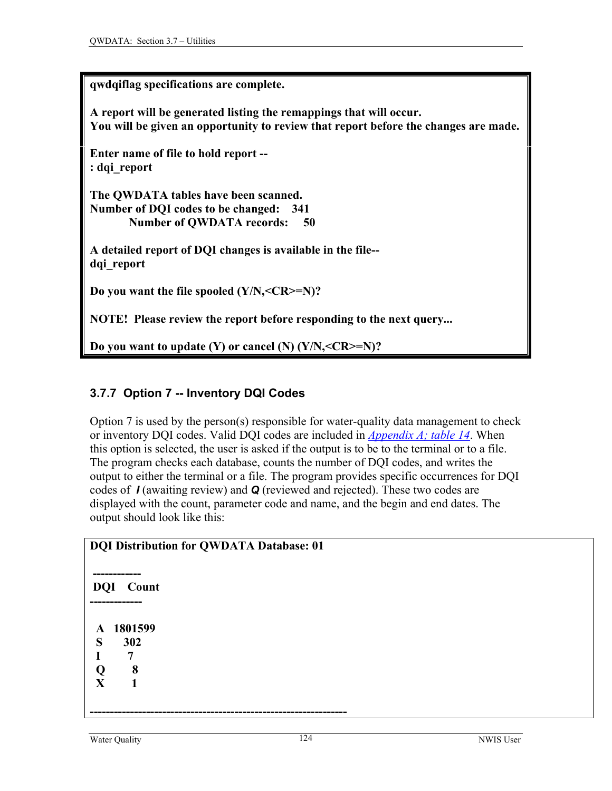| qwdqiflag specifications are complete.                                                                                                                    |
|-----------------------------------------------------------------------------------------------------------------------------------------------------------|
| A report will be generated listing the remappings that will occur.<br>You will be given an opportunity to review that report before the changes are made. |
| Enter name of file to hold report --<br>: dqi report                                                                                                      |
| The OWDATA tables have been scanned.<br>Number of DQI codes to be changed: 341<br><b>Number of QWDATA records:</b><br>50                                  |
| A detailed report of DQI changes is available in the file--<br>dqi report                                                                                 |
| Do you want the file spooled $(Y/N, =N)$ ?                                                                                                                |
| <b>NOTE!</b> Please review the report before responding to the next query                                                                                 |
| Do you want to update $(Y)$ or cancel $(N)$ $(Y/N, <$ $CR$ $> = N$ $)$ ?                                                                                  |

# **3.7.7 Option 7 -- Inventory DQI Codes**

Option 7 is used by the person(s) responsible for water-quality data management to check or inventory DQI codes. Valid DQI codes are included in *[Appendix A; table 14](#page-13-0)*. When this option is selected, the user is asked if the output is to be to the terminal or to a file. The program checks each database, counts the number of DQI codes, and writes the output to either the terminal or a file. The program provides specific occurrences for DQI codes of *I* (awaiting review) and *Q* (reviewed and rejected). These two codes are displayed with the count, parameter code and name, and the begin and end dates. The output should look like this:

| DQI Distribution for QWDATA Database: 01 |
|------------------------------------------|
| ----------                               |
| <b>DQI</b> Count                         |
|                                          |
|                                          |
| 1801599<br>$\mathbf{A}$                  |
| S<br>302                                 |
| 7                                        |
| 8<br>Q                                   |
| X<br>1                                   |
|                                          |
|                                          |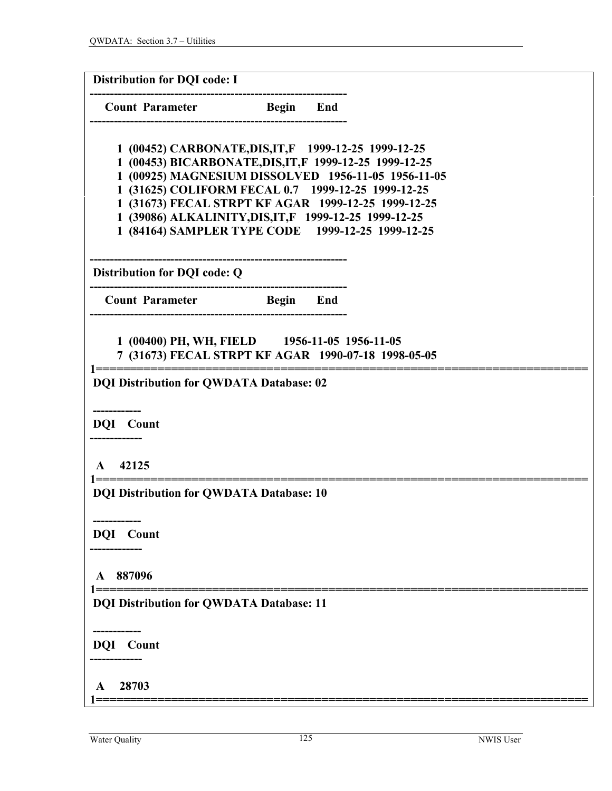| <b>Distribution for DQI code: I</b>             |                                                                                                           |
|-------------------------------------------------|-----------------------------------------------------------------------------------------------------------|
| <b>Count Parameter</b> Begin End                |                                                                                                           |
|                                                 |                                                                                                           |
|                                                 | 1 (00452) CARBONATE, DIS, IT, F 1999-12-25 1999-12-25                                                     |
|                                                 | 1 (00453) BICARBONATE, DIS, IT, F 1999-12-25 1999-12-25                                                   |
|                                                 | 1 (00925) MAGNESIUM DISSOLVED 1956-11-05 1956-11-05<br>1 (31625) COLIFORM FECAL 0.7 1999-12-25 1999-12-25 |
|                                                 | 1 (31673) FECAL STRPT KF AGAR 1999-12-25 1999-12-25                                                       |
|                                                 | 1 (39086) ALKALINITY, DIS, IT, F 1999-12-25 1999-12-25                                                    |
|                                                 | 1 (84164) SAMPLER TYPE CODE 1999-12-25 1999-12-25                                                         |
|                                                 |                                                                                                           |
| Distribution for DQI code: Q                    |                                                                                                           |
| <b>Count Parameter</b> Begin End                |                                                                                                           |
| 1 (00400) PH, WH, FIELD 1956-11-05 1956-11-05   | 7 (31673) FECAL STRPT KF AGAR 1990-07-18 1998-05-05                                                       |
| <b>DQI Distribution for QWDATA Database: 02</b> |                                                                                                           |
|                                                 |                                                                                                           |
| <b>DQI</b> Count                                |                                                                                                           |
|                                                 |                                                                                                           |
| 42125<br>$\mathbf{A}$                           |                                                                                                           |
| <b>DQI Distribution for QWDATA Database: 10</b> |                                                                                                           |
| -------------                                   |                                                                                                           |
| <b>DQI</b> Count                                |                                                                                                           |
|                                                 |                                                                                                           |
| A 887096                                        |                                                                                                           |
| <b>DQI Distribution for QWDATA Database: 11</b> |                                                                                                           |
| <b>DQI</b> Count                                |                                                                                                           |
|                                                 |                                                                                                           |
| 28703<br>$\mathbf{A}$                           |                                                                                                           |
|                                                 |                                                                                                           |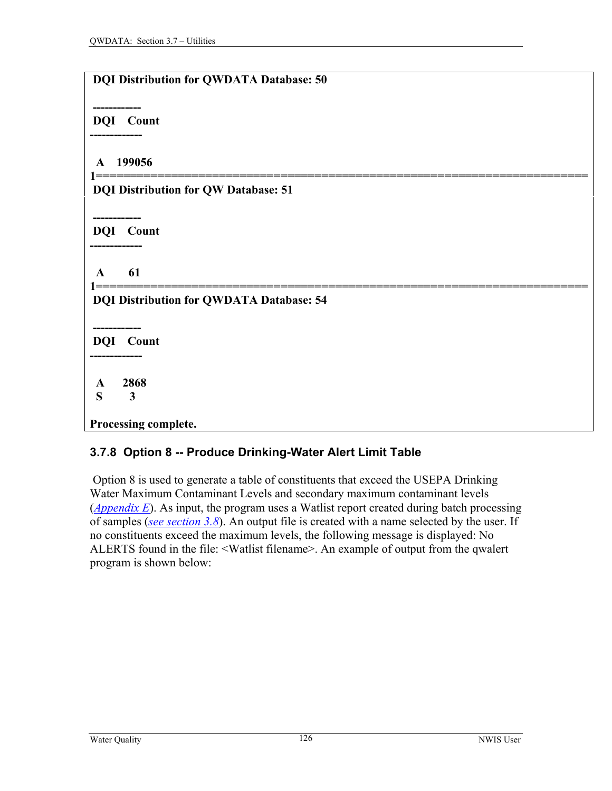| <b>DQI Distribution for QWDATA Database: 50</b>            |
|------------------------------------------------------------|
| -------------                                              |
| <b>DQI</b> Count<br>-----------                            |
| 199056<br>$\mathbf{A}$                                     |
| <b>DQI Distribution for QW Database: 51</b>                |
| ---------                                                  |
| DQI Count                                                  |
|                                                            |
| 61<br>A                                                    |
| l =====<br><b>DQI Distribution for QWDATA Database: 54</b> |
| ----------                                                 |
| <b>DQI</b> Count                                           |
| ---------                                                  |
| 2868<br>A                                                  |
| S<br>$\mathbf{3}$                                          |
| Processing complete.                                       |

### **3.7.8 Option 8 -- Produce Drinking-Water Alert Limit Table**

 Option 8 is used to generate a table of constituents that exceed the USEPA Drinking Water Maximum Contaminant Levels and secondary maximum contaminant levels (*[Appendix E](#page-0-0)*). As input, the program uses a Watlist report created during batch processing of samples (*[see section 3.8](#page-0-0)*). An output file is created with a name selected by the user. If no constituents exceed the maximum levels, the following message is displayed: No ALERTS found in the file: <Watlist filename>. An example of output from the qwalert program is shown below: